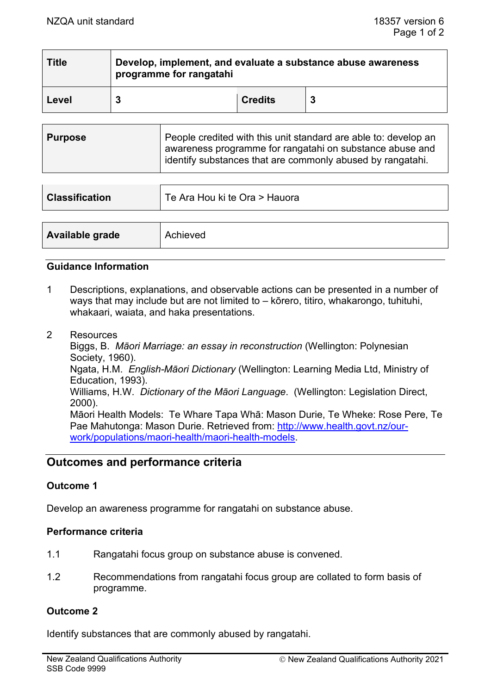| <b>Title</b> | Develop, implement, and evaluate a substance abuse awareness<br>programme for rangatahi |                |   |
|--------------|-----------------------------------------------------------------------------------------|----------------|---|
| Level        |                                                                                         | <b>Credits</b> | 3 |

| <b>Purpose</b> | People credited with this unit standard are able to: develop an<br>awareness programme for rangatahi on substance abuse and<br>i identify substances that are commonly abused by rangatahi. |
|----------------|---------------------------------------------------------------------------------------------------------------------------------------------------------------------------------------------|
|                |                                                                                                                                                                                             |

| <b>Classification</b> | Te Ara Hou ki te Ora > Hauora |
|-----------------------|-------------------------------|
|                       |                               |
| Available grade       | Achieved                      |

#### **Guidance Information**

- 1 Descriptions, explanations, and observable actions can be presented in a number of ways that may include but are not limited to – kōrero, titiro, whakarongo, tuhituhi, whakaari, waiata, and haka presentations.
- 2 Resources

Biggs, B. *Māori Marriage: an essay in reconstruction* (Wellington: Polynesian Society, 1960). Ngata, H.M. *English-Māori Dictionary* (Wellington: Learning Media Ltd, Ministry of Education, 1993). Williams, H.W. *Dictionary of the Māori Language*. (Wellington: Legislation Direct, 2000). Māori Health Models: Te Whare Tapa Whā: Mason Durie, Te Wheke: Rose Pere, Te Pae Mahutonga: Mason Durie. Retrieved from: [http://www.health.govt.nz/our](http://www.health.govt.nz/our-work/populations/maori-health/maori-health-models)[work/populations/maori-health/maori-health-models.](http://www.health.govt.nz/our-work/populations/maori-health/maori-health-models)

# **Outcomes and performance criteria**

## **Outcome 1**

Develop an awareness programme for rangatahi on substance abuse.

## **Performance criteria**

- 1.1 Rangatahi focus group on substance abuse is convened.
- 1.2 Recommendations from rangatahi focus group are collated to form basis of programme.

## **Outcome 2**

Identify substances that are commonly abused by rangatahi.